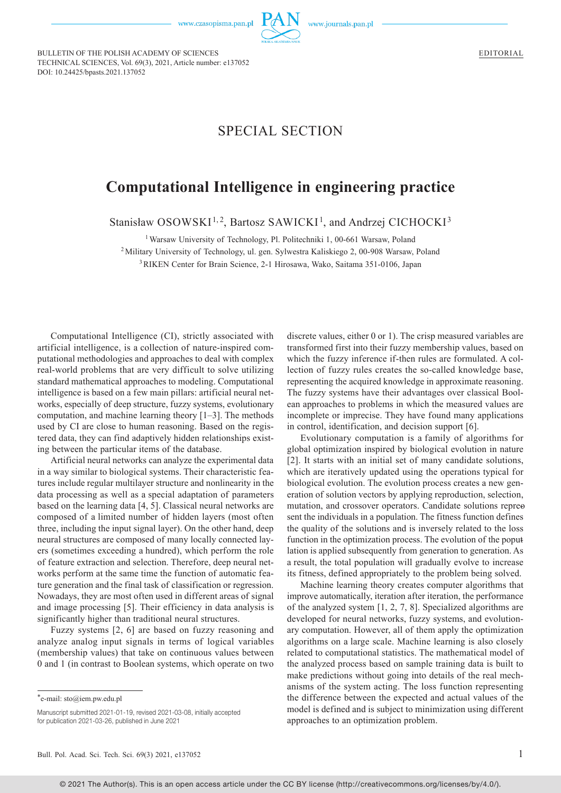

www.journals.pan.pl

BULLETIN OF THE POLISH ACADEMY OF SCIENCES TECHNICAL SCIENCES, Vol. 69(3), 2021, Article number: e137052 DOI: 10.24425/bpasts.2021.137052

## SPECIAL SECTION

## **Computational Intelligence in engineering practice**

Stanisław OSOWSKI<sup>1,2</sup>, Bartosz SAWICKI<sup>1</sup>, and Andrzej CICHOCKI<sup>3</sup>

<sup>1</sup> Warsaw University of Technology, Pl. Politechniki 1, 00-661 Warsaw, Poland

<sup>2</sup>Military University of Technology, ul. gen. Sylwestra Kaliskiego 2, 00-908 Warsaw, Poland

<sup>3</sup>RIKEN Center for Brain Science, 2-1 Hirosawa, Wako, Saitama 351-0106, Japan

Computational Intelligence (CI), strictly associated with artificial intelligence, is a collection of nature-inspired computational methodologies and approaches to deal with complex real-world problems that are very difficult to solve utilizing standard mathematical approaches to modeling. Computational intelligence is based on a few main pillars: artificial neural networks, especially of deep structure, fuzzy systems, evolutionary computation, and machine learning theory [1‒3]. The methods used by CI are close to human reasoning. Based on the registered data, they can find adaptively hidden relationships existing between the particular items of the database.

Artificial neural networks can analyze the experimental data in a way similar to biological systems. Their characteristic features include regular multilayer structure and nonlinearity in the data processing as well as a special adaptation of parameters based on the learning data [4, 5]. Classical neural networks are composed of a limited number of hidden layers (most often three, including the input signal layer). On the other hand, deep neural structures are composed of many locally connected layers (sometimes exceeding a hundred), which perform the role of feature extraction and selection. Therefore, deep neural networks perform at the same time the function of automatic feature generation and the final task of classification or regression. Nowadays, they are most often used in different areas of signal and image processing [5]. Their efficiency in data analysis is significantly higher than traditional neural structures.

Fuzzy systems [2, 6] are based on fuzzy reasoning and analyze analog input signals in terms of logical variables (membership values) that take on continuous values between 0 and 1 (in contrast to Boolean systems, which operate on two discrete values, either 0 or 1). The crisp measured variables are transformed first into their fuzzy membership values, based on which the fuzzy inference if-then rules are formulated. A collection of fuzzy rules creates the so-called knowledge base, representing the acquired knowledge in approximate reasoning. The fuzzy systems have their advantages over classical Boolean approaches to problems in which the measured values are incomplete or imprecise. They have found many applications in control, identification, and decision support [6].

Evolutionary computation is a family of [algorithms](https://en.wikipedia.org/wiki/Algorithm) for [global optimization](https://en.wikipedia.org/wiki/Global_optimization) inspired by [biological evolution](https://en.wikipedia.org/wiki/Biological_evolution) in nature [2]. It starts with an initial set of many candidate solutions, which are iteratively updated using the operations typical for biological evolution. The evolution process creates a new generation of solution vectors by applying reproduction, selection, mutation, and crossover operators. [Candidate solutions](https://en.wikipedia.org/wiki/Candidate_solution) repreosent the individuals in a population. The [fitness function](https://en.wikipedia.org/wiki/Fitness_function) defines the quality of the solutions and is inversely related to the loss function in the optimization process. The [evolution](https://en.wikipedia.org/wiki/Evolution) of the poput lation is applied subsequently from generation to generation. As a result, the total population will gradually [evolve](https://en.wikipedia.org/wiki/Evolution) to increase its [fitness,](https://en.wikipedia.org/wiki/Fitness_(biology)) defined appropriately to the problem being solved.

Machine learning theory creates computer algorithms that improve automatically, iteration after iteration, the performance of the analyzed system [1, 2, 7, 8]. Specialized algorithms are developed for neural networks, fuzzy systems, and evolutionary computation. However, all of them apply the optimization algorithms on a large scale. Machine learning is also closely related to computational statistics. The mathematical model of the analyzed process based on sample training data is built to make predictions without going into details of the real mechanisms of the system acting. The loss function representing the difference between the expected and actual values of the model is defined and is subject to minimization using different approaches to an optimization problem.

<sup>\*</sup>e-mail: sto@iem.pw.edu.pl

Manuscript submitted 2021-01-19, revised 2021-03-08, initially accepted for publication 2021-03-26, published in June 2021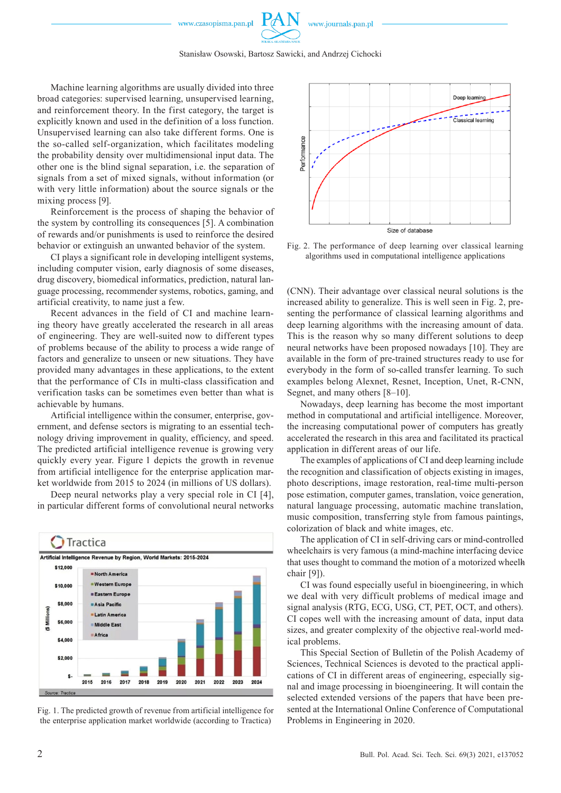

Machine learning algorithms are usually divided into three broad categories: supervised learning, unsupervised learning, and reinforcement theory. In the first category, the target is explicitly known and used in the definition of a loss function. Unsupervised learning can also take different forms. One is the so-called [self-organization](https://en.wikipedia.org/wiki/Self-organization), which facilitates modeling the [probability density](https://en.wikipedia.org/wiki/Probability_density_function) over multidimensional input data. The other one is the blind signal separation, i.e. the separation of signals from a set of mixed signals, without information (or with very little information) about the source signals or the mixing process [9].

Reinforcement is the process of shaping the behavior of the system by controlling its consequences [5]. A combination of rewards and/or punishments is used to reinforce the desired behavior or extinguish an unwanted behavior of the system.

CI plays a significant role in developing intelligent systems, including computer vision, early diagnosis of some diseases, drug discovery, biomedical informatics, prediction, natural language processing, recommender systems, robotics, gaming, and artificial creativity, to name just a few.

Recent advances in the field of CI and machine learning theory have greatly accelerated the research in all areas of engineering. They are well-suited now to different types of problems because of the ability to process a wide range of factors and generalize to unseen or new situations. They have provided many advantages in these applications, to the extent that the performance of CIs in multi-class classification and verification tasks can be sometimes even better than what is achievable by humans.

Artificial intelligence within the consumer, enterprise, government, and defense sectors is migrating to an essential technology driving improvement in quality, efficiency, and speed. The predicted artificial intelligence revenue is growing very quickly every year. Figure 1 depicts the growth in revenue from artificial intelligence for the enterprise application market worldwide from 2015 to 2024 (in millions of US dollars).

Deep neural networks play a very special role in CI [4], in particular different forms of convolutional neural networks



Fig. 1. The predicted growth of revenue from artificial intelligence for the enterprise application market worldwide (according to Tractica)



Fig. 2. The performance of deep learning over classical learning algorithms used in computational intelligence applications

(CNN). Their advantage over classical neural solutions is the increased ability to generalize. This is well seen in Fig. 2, presenting the performance of classical learning algorithms and deep learning algorithms with the increasing amount of data. This is the reason why so many different solutions to deep neural networks have been proposed nowadays [10]. They are available in the form of pre-trained structures ready to use for everybody in the form of so-called transfer learning. To such examples belong Alexnet, Resnet, Inception, Unet, R-CNN, Segnet, and many others [8–10].

Nowadays, deep learning has become the most important method in computational and artificial intelligence. Moreover, the increasing computational power of computers has greatly accelerated the research in this area and facilitated its practical application in different areas of our life.

The examples of applications of CI and deep learning include the recognition and classification of objects existing in images, photo descriptions, image restoration, real-time multi-person pose estimation, computer games, translation, voice generation, natural language processing, automatic machine translation, music composition, transferring style from famous paintings, [colorization of black and white images](https://www.mygreatlearning.com/blog/deep-learning-applications/#colorization), etc.

The application of CI in self-driving cars or mind-controlled wheelchairs is very famous (a [mind-machine interfacing device](https://en.wikipedia.org/wiki/Brain–computer_interface) that uses thought to command the motion of a motorized wheelh [chair](https://en.wikipedia.org/wiki/Motorized_wheelchair) [9]).

CI was found especially useful in bioengineering, in which we deal with very difficult problems of medical image and signal analysis (RTG, ECG, USG, CT, PET, OCT, and others). CI copes well with the increasing amount of data, input data sizes, and greater complexity of the objective real-world medical problems.

This Special Section of Bulletin of the Polish Academy of Sciences, Technical Sciences is devoted to the practical applications of CI in different areas of engineering, especially signal and image processing in bioengineering. It will contain the selected extended versions of the papers that have been presented at the International Online Conference of Computational Problems in Engineering in 2020.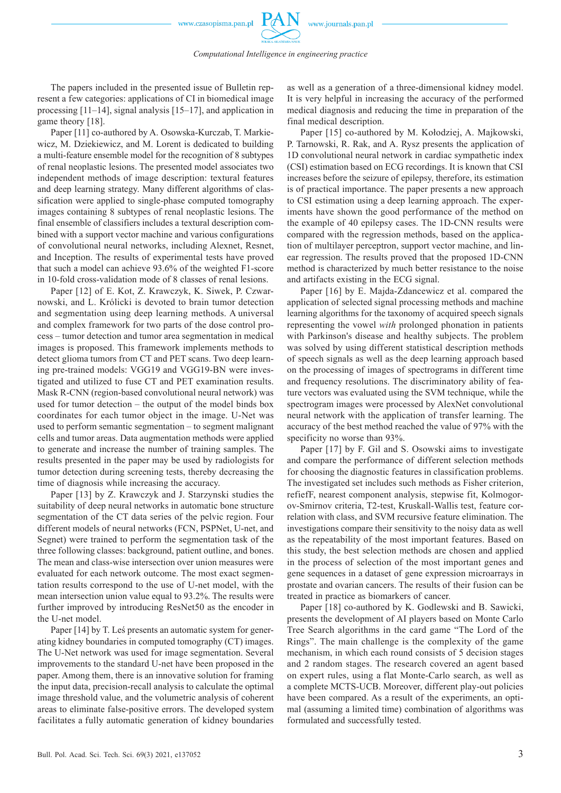Paper [11] co-authored by A. Osowska-Kurczab, T. Markiewicz, M. Dziekiewicz, and M. Lorent is dedicated to building a multi-feature ensemble model for the recognition of 8 subtypes of renal neoplastic lesions. The presented model associates two independent methods of image description: textural features and deep learning strategy. Many different algorithms of classification were applied to single-phase computed tomography images containing 8 subtypes of renal neoplastic lesions. The final ensemble of classifiers includes a textural description combined with a support vector machine and various configurations of convolutional neural networks, including Alexnet, Resnet, and Inception. The results of experimental tests have proved that such a model can achieve 93.6% of the weighted F1-score in 10-fold cross-validation mode of 8 classes of renal lesions.

Paper [12] of E. Kot, Z. Krawczyk, K. Siwek, P. Czwarnowski, and L. Królicki is devoted to brain tumor detection and segmentation using deep learning methods. A universal and complex framework for two parts of the dose control process – tumor detection and tumor area segmentation in medical images is proposed. This framework implements methods to detect glioma tumors from CT and PET scans. Two deep learning pre-trained models: VGG19 and VGG19-BN were investigated and utilized to fuse CT and PET examination results. Mask R-CNN (region-based convolutional neural network) was used for tumor detection – the output of the model binds box coordinates for each tumor object in the image. U-Net was used to perform semantic segmentation – to segment malignant cells and tumor areas. Data augmentation methods were applied to generate and increase the number of training samples. The results presented in the paper may be used by radiologists for tumor detection during screening tests, thereby decreasing the time of diagnosis while increasing the accuracy.

Paper [13] by Z. Krawczyk and J. Starzynski studies the suitability of deep neural networks in automatic bone structure segmentation of the CT data series of the pelvic region. Four different models of neural networks (FCN, PSPNet, U-net, and Segnet) were trained to perform the segmentation task of the three following classes: background, patient outline, and bones. The mean and class-wise intersection over union measures were evaluated for each network outcome. The most exact segmentation results correspond to the use of U-net model, with the mean intersection union value equal to 93.2%. The results were further improved by introducing ResNet50 as the encoder in the U-net model.

Paper [14] by T. Leś presents an automatic system for generating kidney boundaries in computed tomography (CT) images. The U-Net network was used for image segmentation. Several improvements to the standard U-net have been proposed in the paper. Among them, there is an innovative solution for framing the input data, precision-recall analysis to calculate the optimal image threshold value, and the volumetric analysis of coherent areas to eliminate false-positive errors. The developed system facilitates a fully automatic generation of kidney boundaries as well as a generation of a three-dimensional kidney model. It is very helpful in increasing the accuracy of the performed medical diagnosis and reducing the time in preparation of the final medical description.

Paper [15] co-authored by M. Kołodziej, A. Majkowski, P. Tarnowski, R. Rak, and A. Rysz presents the application of 1D convolutional neural network in cardiac sympathetic index (CSI) estimation based on ECG recordings. It is known that CSI increases before the seizure of epilepsy, therefore, its estimation is of practical importance. The paper presents a new approach to CSI estimation using a deep learning approach. The experiments have shown the good performance of the method on the example of 40 epilepsy cases. The 1D-CNN results were compared with the regression methods, based on the application of multilayer perceptron, support vector machine, and linear regression. The results proved that the proposed 1D-CNN method is characterized by much better resistance to the noise and artifacts existing in the ECG signal.

Paper [16] by E. Majda-Zdancewicz et al. compared the application of selected signal processing methods and machine learning algorithms for the taxonomy of acquired speech signals representing the vowel *with* prolonged phonation in patients with Parkinson's disease and healthy subjects. The problem was solved by using different statistical description methods of speech signals as well as the deep learning approach based on the processing of images of spectrograms in different time and frequency resolutions. The discriminatory ability of feature vectors was evaluated using the SVM technique, while the spectrogram images were processed by AlexNet convolutional neural network with the application of transfer learning. The accuracy of the best method reached the value of 97% with the specificity no worse than 93%.

Paper [17] by F. Gil and S. Osowski aims to investigate and compare the performance of different selection methods for choosing the diagnostic features in classification problems. The investigated set includes such methods as Fisher criterion, refiefF, nearest component analysis, stepwise fit, Kolmogorov-Smirnov criteria, T2-test, Kruskall-Wallis test, feature correlation with class, and SVM recursive feature elimination. The investigations compare their sensitivity to the noisy data as well as the repeatability of the most important features. Based on this study, the best selection methods are chosen and applied in the process of selection of the most important genes and gene sequences in a dataset of gene expression microarrays in prostate and ovarian cancers. The results of their fusion can be treated in practice as biomarkers of cancer.

Paper [18] co-authored by K. Godlewski and B. Sawicki, presents the development of AI players based on Monte Carlo Tree Search algorithms in the card game "The Lord of the Rings". The main challenge is the complexity of the game mechanism, in which each round consists of 5 decision stages and 2 random stages. The research covered an agent based on expert rules, using a flat Monte-Carlo search, as well as a complete MCTS-UCB. Moreover, different play-out policies have been compared. As a result of the experiments, an optimal (assuming a limited time) combination of algorithms was formulated and successfully tested.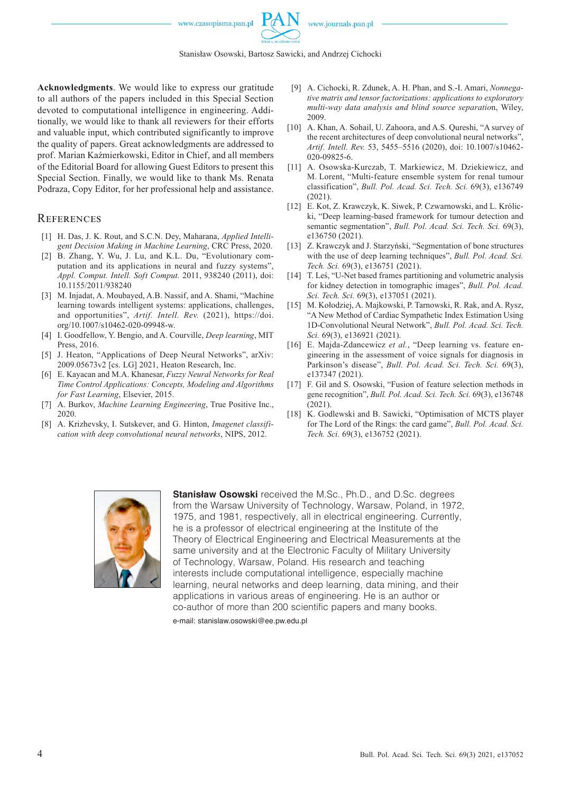



**Acknowledgments**. We would like to express our gratitude to all authors of the papers included in this Special Section devoted to computational intelligence in engineering. Additionally, we would like to thank all reviewers for their efforts and valuable input, which contributed significantly to improve the quality of papers. Great acknowledgments are addressed to prof. Marian Kaźmierkowski, Editor in Chief, and all members of the Editorial Board for allowing Guest Editors to present this Special Section. Finally, we would like to thank Ms. Renata Podraza, Copy Editor, for her professional help and assistance.

## **REFERENCES**

- [1] H. Das, J. K. Rout, and S.C.N. Dey, Maharana, *Applied Intelligent Decision Making in Machine Learning*, CRC Press, 2020.
- [2] B. Zhang, Y. Wu, J. Lu, and K.L. Du, "Evolutionary computation and its applications in neural and fuzzy systems", *Appl. Comput. Intell. Soft Comput.* 2011, 938240 (2011), [doi:](https://doi.org/10.1155/2011/938240)  [10.1155/2011/938240](https://doi.org/10.1155/2011/938240)
- [3] M. Injadat, A. Moubayed, A.B. Nassif, and A. Shami, "Machine learning towards intelligent systems: applications, challenges, and opportunities", *Artif. Intell. Rev.* (2021), [https://doi.](https://doi.org/10.1007/s10462-020-09948-w) [org/10.1007/s10462-020-09948-w](https://doi.org/10.1007/s10462-020-09948-w).
- [4] I. Goodfellow, Y. Bengio, and A. Courville, *Deep learning*, MIT Press, 2016.
- [5] J. Heaton, "Applications of Deep Neural Networks", arXiv: 2009.05673v2 [cs. LG] 2021, Heaton Research, Inc.
- [6] E. Kayacan and M.A. Khanesar, *Fuzzy Neural Networks for Real Time Control Applications: Concepts, Modeling and Algorithms for Fast Learning*, Elsevier, 2015.
- [7] A. Burkov, *Machine Learning Engineering*, True Positive Inc., 2020.
- [8] A. Krizhevsky, I. Sutskever, and G. Hinton, *Imagenet classification with deep convolutional neural networks*, NIPS, 2012.
- [9] A. Cichocki, R. Zdunek, A. H. Phan, and S.-I. Amari, *[Nonnega](http://books.google.com/books?hl=en&lr=&id=KaxssMiWgswC&oi=fnd&pg=PR5&dq=info:ZcrOrrgKZasJ:scholar.google.com&ots=Lu7_baP3MR&sig=SMUCan-ggz4wZ3Imbf0YzMCKZlg)[tive matrix and tensor factorizations: applications to exploratory](http://books.google.com/books?hl=en&lr=&id=KaxssMiWgswC&oi=fnd&pg=PR5&dq=info:ZcrOrrgKZasJ:scholar.google.com&ots=Lu7_baP3MR&sig=SMUCan-ggz4wZ3Imbf0YzMCKZlg)  [multi-way data analysis and blind source separatio](http://books.google.com/books?hl=en&lr=&id=KaxssMiWgswC&oi=fnd&pg=PR5&dq=info:ZcrOrrgKZasJ:scholar.google.com&ots=Lu7_baP3MR&sig=SMUCan-ggz4wZ3Imbf0YzMCKZlg)*n, Wiley, 2009.
- [10] A. Khan, A. Sohail, U. Zahoora, and A.S. Oureshi, "A survey of the recent architectures of deep convolutional neural networks", *Artif. Intell. Rev.* 53, 5455–5516 (2020), doi: [10.1007/s10462-](https://doi.org/10.1007/s10462-020-09825-6) [020-09825-](https://doi.org/10.1007/s10462-020-09825-6)6.
- [11] A. Osowska-Kurczab, T. Markiewicz, M. Dziekiewicz, and M. Lorent, "Multi-feature ensemble system for renal tumour classification", *Bull. Pol. Acad. Sci. Tech. Sci.* 69(3), e136749 (2021).
- [12] E. Kot, Z. Krawczyk, K. Siwek, P. Czwarnowski, and L. Królicki, ["Deep learning-based framework for tumour detection and](https://www.editorialsystem.com/bpasts/article/219175/view/)  [semantic segmentation](https://www.editorialsystem.com/bpasts/article/219175/view/)", *Bull. Pol. Acad. Sci. Tech. Sci.* 69(3), e136750 (2021).
- [13] Z. Krawczyk and J. Starzyński, "Segmentation of bone structures with the use of deep learning techniques", *Bull. Pol. Acad. Sci. Tech. Sci.* 69(3), e136751 (2021).
- [14] T. Leś, "U-Net based frames partitioning and volumetric analysis for kidney detection in tomographic images", *Bull. Pol. Acad. Sci. Tech. Sci.* 69(3), e137051 (2021).
- [15] M. Kołodziej, A. Majkowski, P. Tarnowski, R. Rak, and A. Rysz, "A New Method of Cardiac Sympathetic Index Estimation Using 1D-Convolutional Neural Network", *Bull. Pol. Acad. Sci. Tech. Sci.* 69(3), e136921 (2021).
- [16] E. Majda-Zdancewicz *et al.*, "[Deep learning vs. feature en](https://www.editorialsystem.com/bpasts/article/220061/view/)[gineering in the assessment of voice signals for diagnosis in](https://www.editorialsystem.com/bpasts/article/220061/view/)  [Parkinson's disease](https://www.editorialsystem.com/bpasts/article/220061/view/)", *Bull. Pol. Acad. Sci. Tech. Sci.* 69(3), e137347 (2021).
- [17] F. Gil and S. Osowski, "Fusion of feature selection methods in gene recognition", *Bull. Pol. Acad. Sci. Tech. Sci.* 69(3), e136748 (2021).
- [18] K. Godlewski and B. Sawicki, "Optimisation of MCTS player for The Lord of the Rings: the card game", *Bull. Pol. Acad. Sci. Tech. Sci.* 69(3), e136752 (2021).



**Stanisław Osowski** received the M.Sc., Ph.D., and D.Sc. degrees from the Warsaw University of Technology, Warsaw, Poland, in 1972, 1975, and 1981, respectively, all in electrical engineering. Currently, he is a professor of electrical engineering at the Institute of the Theory of Electrical Engineering and Electrical Measurements at the same university and at the Electronic Faculty of Military University of Technology, Warsaw, Poland. His research and teaching interests include computational intelligence, especially machine learning, neural networks and deep learning, data mining, and their applications in various areas of engineering. He is an author or co-author of more than 200 scientific papers and many books.

e-mail: [stanislaw.osowski@ee.pw.edu.pl](mailto:stanislaw.osowski@ee.pw.edu.pl)